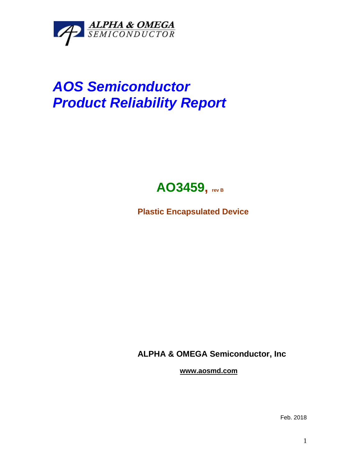

## *AOS Semiconductor Product Reliability Report*



**Plastic Encapsulated Device**

**ALPHA & OMEGA Semiconductor, Inc**

**www.aosmd.com**

Feb. 2018